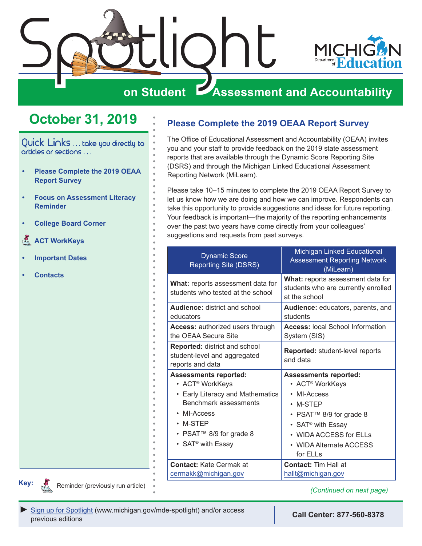<span id="page-0-0"></span>

## **October 31, 2019**

Quick Links . . . take you directly to articles or sections . . .

- **• Please Complete the 2019 OEAA Report Survey**
- **• [Focus on Assessment Literacy](#page-1-0)  [Reminder](#page-1-0)**
- **• [College Board Corner](#page-2-0)**
- **[ACT WorkKeys](#page-4-0)**
- **• [Important Dates](#page-5-0)**
- **• [Contacts](#page-7-0)**

**Please Complete the 2019 OEAA Report Survey**

The Office of Educational Assessment and Accountability (OEAA) invites you and your staff to provide feedback on the 2019 state assessment reports that are available through the Dynamic Score Reporting Site (DSRS) and through the Michigan Linked Educational Assessment Reporting Network (MiLearn).

Please take 10–15 minutes to complete the 2019 OEAA Report Survey to let us know how we are doing and how we can improve. Respondents can take this opportunity to provide suggestions and ideas for future reporting. Your feedback is important—the majority of the reporting enhancements over the past two years have come directly from your colleagues' suggestions and requests from past surveys.

| <b>Dynamic Score</b><br><b>Reporting Site (DSRS)</b>                                                                                                          | Michigan Linked Educational<br><b>Assessment Reporting Network</b><br>(MiLearn)                                                                                        |
|---------------------------------------------------------------------------------------------------------------------------------------------------------------|------------------------------------------------------------------------------------------------------------------------------------------------------------------------|
| What: reports assessment data for<br>students who tested at the school                                                                                        | What: reports assessment data for<br>students who are currently enrolled<br>at the school                                                                              |
| <b>Audience:</b> district and school                                                                                                                          | Audience: educators, parents, and                                                                                                                                      |
| educators                                                                                                                                                     | students                                                                                                                                                               |
| <b>Access: authorized users through</b>                                                                                                                       | <b>Access: local School Information</b>                                                                                                                                |
| the OEAA Secure Site                                                                                                                                          | System (SIS)                                                                                                                                                           |
| Reported: district and school<br>student-level and aggregated<br>reports and data                                                                             | <b>Reported: student-level reports</b><br>and data                                                                                                                     |
| <b>Assessments reported:</b>                                                                                                                                  | <b>Assessments reported:</b>                                                                                                                                           |
| • ACT <sup>®</sup> WorkKeys                                                                                                                                   | • ACT <sup>®</sup> WorkKeys                                                                                                                                            |
| • Early Literacy and Mathematics<br><b>Benchmark assessments</b><br>• MI-Access<br>$\cdot$ M-STEP<br>• PSAT™ 8/9 for grade 8<br>• SAT <sup>®</sup> with Essay | • MI-Access<br>$\cdot$ M-STEP<br>• PSAT <sup>™</sup> 8/9 for grade 8<br>• SAT <sup>®</sup> with Essay<br>• WIDA ACCESS for ELLs<br>• WIDA Alternate ACCESS<br>for ELLs |
| <b>Contact: Kate Cermak at</b>                                                                                                                                | <b>Contact: Tim Hall at</b>                                                                                                                                            |
| cermakk@michigan.gov                                                                                                                                          | hallt@michigan.gov                                                                                                                                                     |

**Key:**

Reminders

Reminder (previously run article) *(Continued on next page) (Continued on next page)*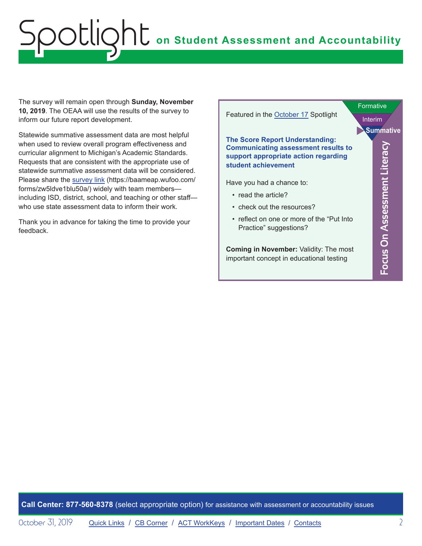<span id="page-1-0"></span>The survey will remain open through **Sunday, November 10, 2019**. The OEAA will use the results of the survey to inform our future report development.

Statewide summative assessment data are most helpful when used to review overall program effectiveness and curricular alignment to Michigan's Academic Standards. Requests that are consistent with the appropriate use of statewide summative assessment data will be considered. Please share the [survey link](https://baameap.wufoo.com/forms/zw5ldve1blu50a/) (https://baameap.wufoo.com/ forms/zw5ldve1blu50a/) widely with team members including ISD, district, school, and teaching or other staff who use state assessment data to inform their work

Thank you in advance for taking the time to provide your feedback.

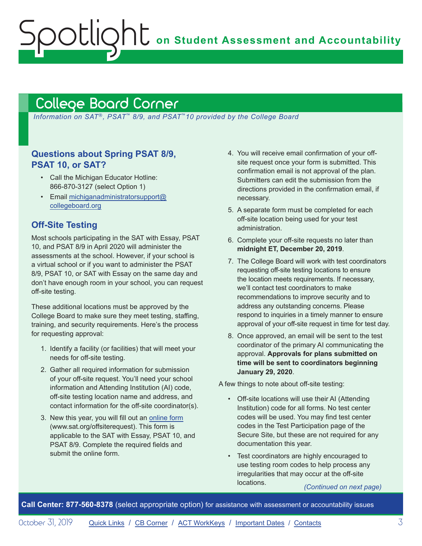**on Student Assessment and Accountability**

## <span id="page-2-1"></span>College Board Corner

<span id="page-2-0"></span>Spotlight

*Information on SAT*®*, PSAT*™ *8/9, and PSAT*™*10 provided by the College Board*

### **Questions about Spring PSAT 8/9, PSAT 10, or SAT?**

- Call the Michigan Educator Hotline: 866-870-3127 (select Option 1)
- Email [michiganadministratorsupport@](mailto:michiganadministratorsupport%40collegeboard.org?subject=) [collegeboard.org](mailto:michiganadministratorsupport%40collegeboard.org?subject=)

### **Off-Site Testing**

Most schools participating in the SAT with Essay, PSAT 10, and PSAT 8/9 in April 2020 will administer the assessments at the school. However, if your school is a virtual school or if you want to administer the PSAT 8/9, PSAT 10, or SAT with Essay on the same day and don't have enough room in your school, you can request off-site testing.

These additional locations must be approved by the College Board to make sure they meet testing, staffing, training, and security requirements. Here's the process for requesting approval:

- 1. Identify a facility (or facilities) that will meet your needs for off-site testing.
- 2. Gather all required information for submission of your off-site request. You'll need your school information and Attending Institution (AI) code, off-site testing location name and address, and contact information for the off-site coordinator(s).
- 3. New this year, you will fill out an [online form](http://www.sat.org/offsiterequest) (www.sat.org/offsiterequest). This form is applicable to the SAT with Essay, PSAT 10, and PSAT 8/9. Complete the required fields and submit the online form.
- 4. You will receive email confirmation of your offsite request once your form is submitted. This confirmation email is not approval of the plan. Submitters can edit the submission from the directions provided in the confirmation email, if necessary.
- 5. A separate form must be completed for each off-site location being used for your test administration.
- 6. Complete your off-site requests no later than **midnight ET, December 20, 2019**.
- 7. The College Board will work with test coordinators requesting off-site testing locations to ensure the location meets requirements. If necessary, we'll contact test coordinators to make recommendations to improve security and to address any outstanding concerns. Please respond to inquiries in a timely manner to ensure approval of your off-site request in time for test day.
- 8. Once approved, an email will be sent to the test coordinator of the primary AI communicating the approval. **Approvals for plans submitted on time will be sent to coordinators beginning January 29, 2020**.

A few things to note about off-site testing:

- Off-site locations will use their AI (Attending Institution) code for all forms. No test center codes will be used. You may find test center codes in the Test Participation page of the Secure Site, but these are not required for any documentation this year.
- Test coordinators are highly encouraged to use testing room codes to help process any irregularities that may occur at the off-site locations. *(Continued on next page)*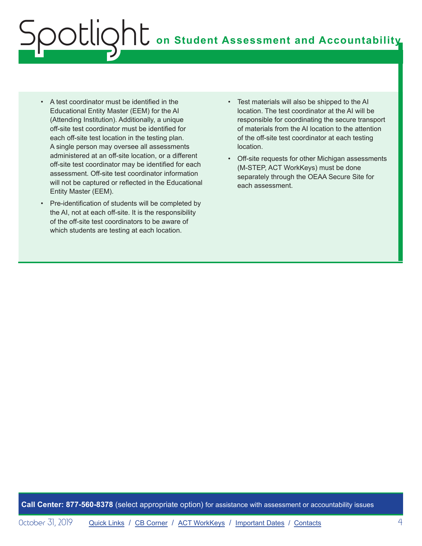- A test coordinator must be identified in the Educational Entity Master (EEM) for the AI (Attending Institution). Additionally, a unique off-site test coordinator must be identified for each off-site test location in the testing plan. A single person may oversee all assessments administered at an off-site location, or a different off-site test coordinator may be identified for each assessment. Off-site test coordinator information will not be captured or reflected in the Educational Entity Master (EEM).
- Pre-identification of students will be completed by the AI, not at each off-site. It is the responsibility of the off-site test coordinators to be aware of which students are testing at each location.
- Test materials will also be shipped to the AI location. The test coordinator at the AI will be responsible for coordinating the secure transport of materials from the AI location to the attention of the off-site test coordinator at each testing location.
- Off-site requests for other Michigan assessments (M-STEP, ACT WorkKeys) must be done separately through the OEAA Secure Site for each assessment.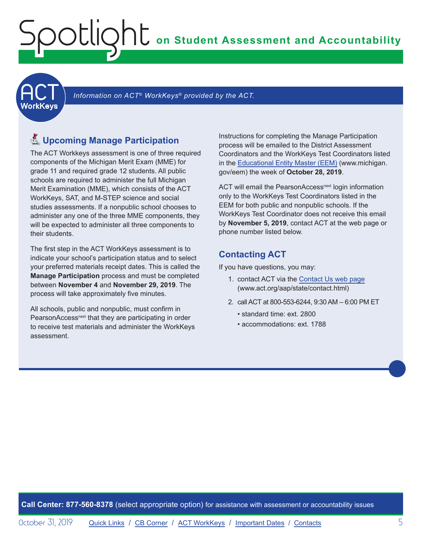<span id="page-4-0"></span>**ACT** 

Information on ACT<sup>®</sup> WorkKeys<sup>®</sup> provided by the ACT.

## **人 Upcoming Manage Participation**

The ACT Workkeys assessment is one of three required components of the Michigan Merit Exam (MME) for grade 11 and required grade 12 students. All public schools are required to administer the full Michigan Merit Examination (MME), which consists of the ACT WorkKeys, SAT, and M-STEP science and social studies assessments. If a nonpublic school chooses to administer any one of the three MME components, they will be expected to administer all three components to their students.

The first step in the ACT WorkKeys assessment is to indicate your school's participation status and to select your preferred materials receipt dates. This is called the **Manage Participation** process and must be completed between **November 4** and **November 29, 2019**. The process will take approximately five minutes.

All schools, public and nonpublic, must confirm in PearsonAccess<sup>next</sup> that they are participating in order to receive test materials and administer the WorkKeys assessment.

Instructions for completing the Manage Participation process will be emailed to the District Assessment Coordinators and the WorkKeys Test Coordinators listed in the [Educational Entity Master \(EEM\)](www.michigan.gov/EEM) (www.michigan. gov/eem) the week of **October 28, 2019**.

ACT will email the PearsonAccess<sup>next</sup> login information only to the WorkKeys Test Coordinators listed in the EEM for both public and nonpublic schools. If the WorkKeys Test Coordinator does not receive this email by **November 5, 2019**, contact ACT at the web page or phone number listed below.

### **Contacting ACT**

If you have questions, you may:

- 1. contact ACT via the [Contact Us web page](http://www.act.org/aap/state/contact.html) ([www.act.org/aap/state/contact.html](https://www.act.org/aap/state/contact.html))
- 2. call ACT at 800-553-6244, 9:30 AM 6:00 PM ET
	- standard time: ext. 2800
	- accommodations: ext. 1788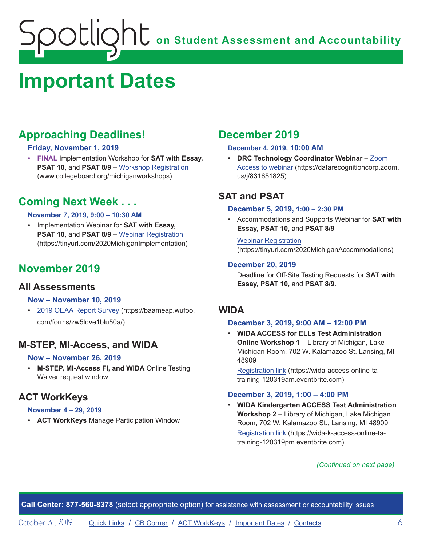## <span id="page-5-1"></span><span id="page-5-0"></span>**Important Dates**

## **Approaching Deadlines!**

### **Friday, November 1, 2019**

• **FINAL** Implementation Workshop for **SAT with Essay, PSAT 10, and PSAT 8/9 – [Workshop Registration](http://www.collegeboard.org/michiganworkshops)** (www.collegeboard.org/michiganworkshops)

## **Coming Next Week . . .**

#### **November 7, 2019, 9:00 – 10:30 AM**

• Implementation Webinar for **SAT with Essay, PSAT 10,** and **PSAT 8/9** – [Webinar Registration](https://tinyurl.com/2020MichiganImplementation) (https://tinyurl.com/2020MichiganImplementation)

## **November 2019**

### **All Assessments**

#### **Now – November 10, 2019**

• [2019 OEAA Report Survey](https://baameap.wufoo.com/forms/zw5ldve1blu50a/) (https://baameap.wufoo. com/forms/zw5ldve1blu50a/)

## **M-STEP, MI-Access, and WIDA**

#### **Now – November 26, 2019**

• **M-STEP, MI-Access FI, and WIDA** Online Testing Waiver request window

## **ACT WorkKeys**

### **November 4 – 29, 2019**

• **ACT WorkKeys** Manage Participation Window

## **December 2019**

#### **December 4, 2019, 10:00 AM**

• **DRC Technology Coordinator Webinar** – [Zoom](https://datarecognitioncorp.zoom.us/j/831651825)  [Access to webinar](https://datarecognitioncorp.zoom.us/j/831651825) (https://datarecognitioncorp.zoom. us/j/831651825)

## **SAT and PSAT**

#### **December 5, 2019, 1:00 – 2:30 PM**

• Accommodations and Supports Webinar for **SAT with Essay, PSAT 10,** and **PSAT 8/9**

Webinar [Registration](https://tinyurl.com/2020MichiganAccommodations) (https://tinyurl.com/2020MichiganAccommodations)

### **December 20, 2019**

Deadline for Off-Site Testing Requests for **SAT with Essay, PSAT 10,** and **PSAT 8/9**.

## **WIDA**

### **December 3, 2019, 9:00 AM – 12:00 PM**

• **WIDA ACCESS for ELLs Test Administration Online Workshop 1** – Library of Michigan, Lake Michigan Room, 702 W. Kalamazoo St. Lansing, MI 48909

[Registration link](https://wida-access-online-ta-training-120319am.eventbrite.com) (https://wida-access-online-tatraining-120319am.eventbrite.com)

### **December 3, 2019, 1:00 – 4:00 PM**

• **WIDA Kindergarten ACCESS Test Administration Workshop 2** – Library of Michigan, Lake Michigan Room, 702 W. Kalamazoo St., Lansing, MI 48909 [Registration link](https://wida-k-access-online-ta-training-120319pm.eventbrite.com) (https://wida-k-access-online-tatraining-120319pm.eventbrite.com)

### *(Continued on next page)*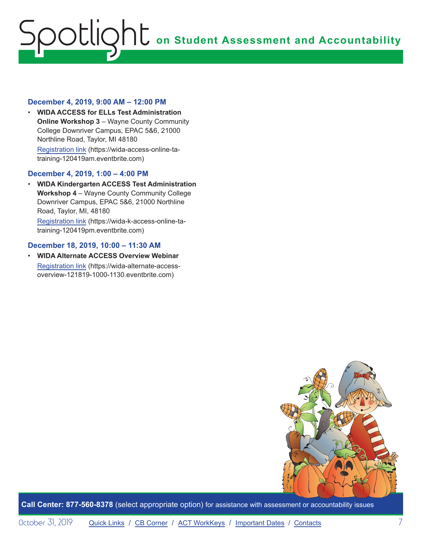#### **December 4, 2019, 9:00 AM – 12:00 PM**

• **WIDA ACCESS for ELLs Test Administration Online Workshop 3 - Wayne County Community** College Downriver Campus, EPAC 5&6, 21000 Northline Road, Taylor, MI 48180 [Registration link](https://wida-access-online-ta-training-120419am.eventbrite.com) (https://wida-access-online-tatraining-120419am.eventbrite.com)

#### **December 4, 2019, 1:00 – 4:00 PM**

• **WIDA Kindergarten ACCESS Test Administration Workshop 4** – Wayne County Community College Downriver Campus, EPAC 5&6, 21000 Northline Road, Taylor, MI, 48180

[Registration link](https://wida-k-access-online-ta-training-120419pm.eventbrite.com) (https://wida-k-access-online-tatraining-120419pm.eventbrite.com)

#### **December 18, 2019, 10:00 – 11:30 AM**

• **WIDA Alternate ACCESS Overview Webinar** [Registration link](https://wida-alternate-access-overview-121819-1000-1130.eventbrite.com) (https://wida-alternate-accessoverview-121819-1000-1130.eventbrite.com)